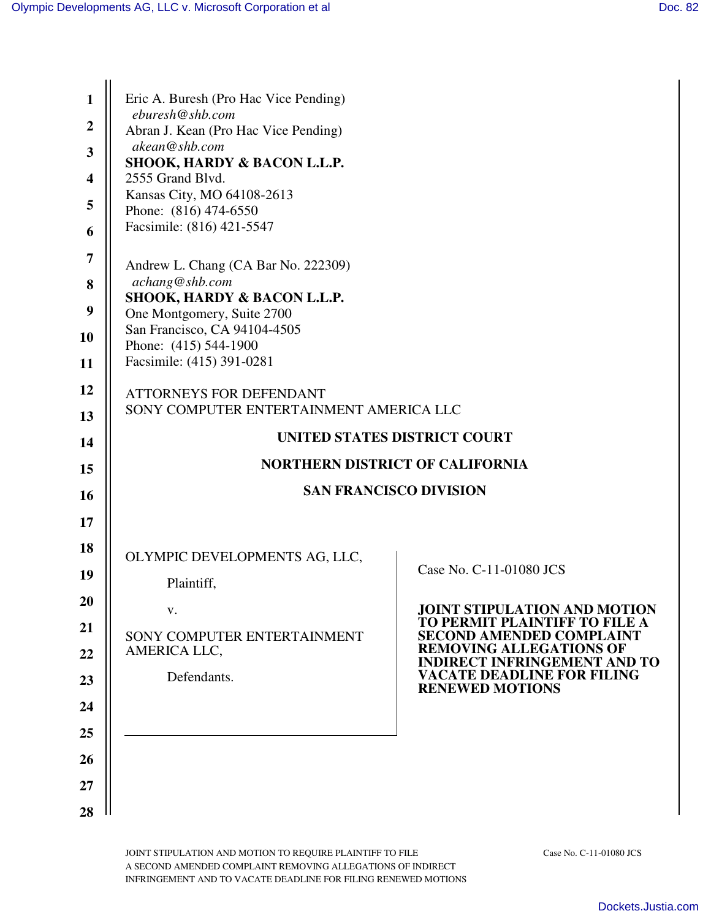| 1                       | Eric A. Buresh (Pro Hac Vice Pending)                                     |                                                                       |  |
|-------------------------|---------------------------------------------------------------------------|-----------------------------------------------------------------------|--|
| $\overline{2}$          | eburesh@shb.com<br>Abran J. Kean (Pro Hac Vice Pending)                   |                                                                       |  |
| $\overline{\mathbf{3}}$ | akean@shb.com                                                             |                                                                       |  |
| $\overline{\mathbf{4}}$ | SHOOK, HARDY & BACON L.L.P.<br>2555 Grand Blvd.                           |                                                                       |  |
| 5                       | Kansas City, MO 64108-2613                                                |                                                                       |  |
| 6                       | Phone: (816) 474-6550<br>Facsimile: (816) 421-5547                        |                                                                       |  |
| 7                       | Andrew L. Chang (CA Bar No. 222309)                                       |                                                                       |  |
| 8                       | achang@shb.com                                                            |                                                                       |  |
| 9                       | SHOOK, HARDY & BACON L.L.P.<br>One Montgomery, Suite 2700                 |                                                                       |  |
| 10                      | San Francisco, CA 94104-4505                                              |                                                                       |  |
| 11                      | Phone: (415) 544-1900<br>Facsimile: (415) 391-0281                        |                                                                       |  |
| 12                      |                                                                           |                                                                       |  |
| 13                      | <b>ATTORNEYS FOR DEFENDANT</b><br>SONY COMPUTER ENTERTAINMENT AMERICA LLC |                                                                       |  |
| 14                      | UNITED STATES DISTRICT COURT                                              |                                                                       |  |
| 15                      | <b>NORTHERN DISTRICT OF CALIFORNIA</b>                                    |                                                                       |  |
| <b>16</b>               | <b>SAN FRANCISCO DIVISION</b>                                             |                                                                       |  |
| 17                      |                                                                           |                                                                       |  |
| 18                      |                                                                           |                                                                       |  |
|                         | OLYMPIC DEVELOPMENTS AG, LLC,                                             | Case No. C-11-01080 JCS                                               |  |
| 19                      | Plaintiff,                                                                |                                                                       |  |
| 20                      | V.                                                                        | <b>JOINT STIPULATION AND MOTION</b><br>TO PERMIT PLAINTIFF TO FILE A  |  |
| 21                      | SONY COMPUTER ENTERTAINMENT                                               | <b>SECOND AMENDED COMPLAINT</b>                                       |  |
| 22                      | AMERICA LLC,                                                              | <b>REMOVING ALLEGATIONS OF</b><br><b>INDIRECT INFRINGEMENT AND TO</b> |  |
| 23                      | Defendants.                                                               | <b>VACATE DEADLINE FOR FILING</b><br><b>RENEWED MOTIONS</b>           |  |
| 24                      |                                                                           |                                                                       |  |
| 25                      |                                                                           |                                                                       |  |
| 26                      |                                                                           |                                                                       |  |
| 27                      |                                                                           |                                                                       |  |
| 28                      |                                                                           |                                                                       |  |

JOINT STIPULATION AND MOTION TO REQUIRE PLAINTIFF TO FILE Case No. C-11-01080 JCS A SECOND AMENDED COMPLAINT REMOVING ALLEGATIONS OF INDIRECT INFRINGEMENT AND TO VACATE DEADLINE FOR FILING RENEWED MOTIONS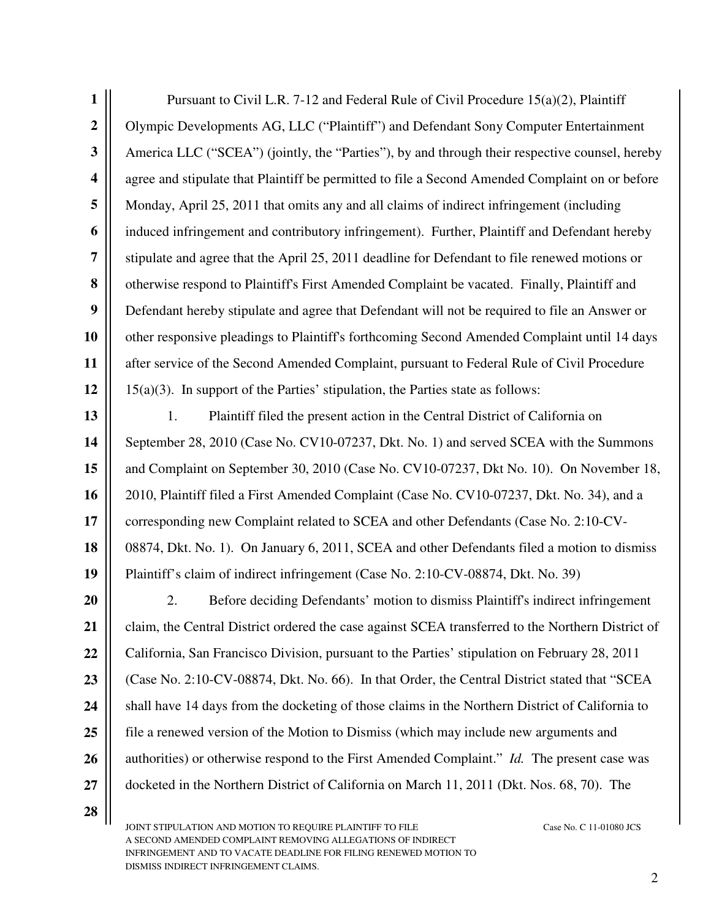| $\mathbf{1}$            | Pursuant to Civil L.R. 7-12 and Federal Rule of Civil Procedure $15(a)(2)$ , Plaintiff             |  |  |
|-------------------------|----------------------------------------------------------------------------------------------------|--|--|
| $\boldsymbol{2}$        | Olympic Developments AG, LLC ("Plaintiff") and Defendant Sony Computer Entertainment               |  |  |
| 3                       | America LLC ("SCEA") (jointly, the "Parties"), by and through their respective counsel, hereby     |  |  |
| $\overline{\mathbf{4}}$ | agree and stipulate that Plaintiff be permitted to file a Second Amended Complaint on or before    |  |  |
| 5                       | Monday, April 25, 2011 that omits any and all claims of indirect infringement (including           |  |  |
| 6                       | induced infringement and contributory infringement). Further, Plaintiff and Defendant hereby       |  |  |
| $\overline{7}$          | stipulate and agree that the April 25, 2011 deadline for Defendant to file renewed motions or      |  |  |
| 8                       | otherwise respond to Plaintiff's First Amended Complaint be vacated. Finally, Plaintiff and        |  |  |
| $\boldsymbol{9}$        | Defendant hereby stipulate and agree that Defendant will not be required to file an Answer or      |  |  |
| 10                      | other responsive pleadings to Plaintiff's forthcoming Second Amended Complaint until 14 days       |  |  |
| 11                      | after service of the Second Amended Complaint, pursuant to Federal Rule of Civil Procedure         |  |  |
| 12                      | $15(a)(3)$ . In support of the Parties' stipulation, the Parties state as follows:                 |  |  |
| 13                      | 1.<br>Plaintiff filed the present action in the Central District of California on                  |  |  |
| 14                      | September 28, 2010 (Case No. CV10-07237, Dkt. No. 1) and served SCEA with the Summons              |  |  |
| 15                      | and Complaint on September 30, 2010 (Case No. CV10-07237, Dkt No. 10). On November 18,             |  |  |
| 16                      | 2010, Plaintiff filed a First Amended Complaint (Case No. CV10-07237, Dkt. No. 34), and a          |  |  |
| 17                      | corresponding new Complaint related to SCEA and other Defendants (Case No. 2:10-CV-                |  |  |
| 18                      | 08874, Dkt. No. 1). On January 6, 2011, SCEA and other Defendants filed a motion to dismiss        |  |  |
| 19                      | Plaintiff's claim of indirect infringement (Case No. 2:10-CV-08874, Dkt. No. 39)                   |  |  |
| 20                      | Before deciding Defendants' motion to dismiss Plaintiff's indirect infringement<br>2.              |  |  |
| 21                      | claim, the Central District ordered the case against SCEA transferred to the Northern District of  |  |  |
| 22                      | California, San Francisco Division, pursuant to the Parties' stipulation on February 28, 2011      |  |  |
| 23                      | (Case No. 2:10-CV-08874, Dkt. No. 66). In that Order, the Central District stated that "SCEA       |  |  |
| 24                      | shall have 14 days from the docketing of those claims in the Northern District of California to    |  |  |
| 25                      | file a renewed version of the Motion to Dismiss (which may include new arguments and               |  |  |
| 26                      | authorities) or otherwise respond to the First Amended Complaint." <i>Id.</i> The present case was |  |  |
| 27                      | docketed in the Northern District of California on March 11, 2011 (Dkt. Nos. 68, 70). The          |  |  |
| 28                      |                                                                                                    |  |  |

II JOINT STIPULATION AND MOTION TO REQUIRE PLAINTIFF TO FILE Case No. C 11-01080 JCS A SECOND AMENDED COMPLAINT REMOVING ALLEGATIONS OF INDIRECT INFRINGEMENT AND TO VACATE DEADLINE FOR FILING RENEWED MOTION TO DISMISS INDIRECT INFRINGEMENT CLAIMS.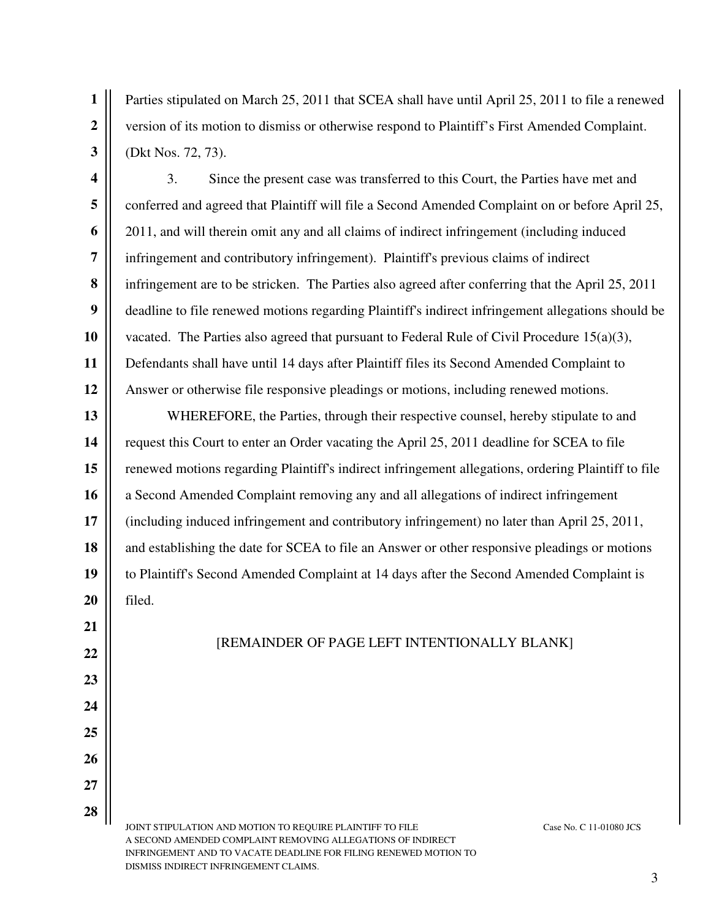**1 2 3** Parties stipulated on March 25, 2011 that SCEA shall have until April 25, 2011 to file a renewed version of its motion to dismiss or otherwise respond to Plaintiff's First Amended Complaint. (Dkt Nos. 72, 73).

**4 5 6 7 8 9 10 11 12** 3. Since the present case was transferred to this Court, the Parties have met and conferred and agreed that Plaintiff will file a Second Amended Complaint on or before April 25, 2011, and will therein omit any and all claims of indirect infringement (including induced infringement and contributory infringement). Plaintiff's previous claims of indirect infringement are to be stricken. The Parties also agreed after conferring that the April 25, 2011 deadline to file renewed motions regarding Plaintiff's indirect infringement allegations should be vacated. The Parties also agreed that pursuant to Federal Rule of Civil Procedure  $15(a)(3)$ , Defendants shall have until 14 days after Plaintiff files its Second Amended Complaint to Answer or otherwise file responsive pleadings or motions, including renewed motions.

**13 14 15 16 17 18 19 20** WHEREFORE, the Parties, through their respective counsel, hereby stipulate to and request this Court to enter an Order vacating the April 25, 2011 deadline for SCEA to file renewed motions regarding Plaintiff's indirect infringement allegations, ordering Plaintiff to file a Second Amended Complaint removing any and all allegations of indirect infringement (including induced infringement and contributory infringement) no later than April 25, 2011, and establishing the date for SCEA to file an Answer or other responsive pleadings or motions to Plaintiff's Second Amended Complaint at 14 days after the Second Amended Complaint is filed.

[REMAINDER OF PAGE LEFT INTENTIONALLY BLANK]

JOINT STIPULATION AND MOTION TO REQUIRE PLAINTIFF TO FILE Case No. C 11-01080 JCS A SECOND AMENDED COMPLAINT REMOVING ALLEGATIONS OF INDIRECT INFRINGEMENT AND TO VACATE DEADLINE FOR FILING RENEWED MOTION TO DISMISS INDIRECT INFRINGEMENT CLAIMS.

**21**

**22**

**23**

**24**

**25**

**26**

**27**

**28**

3